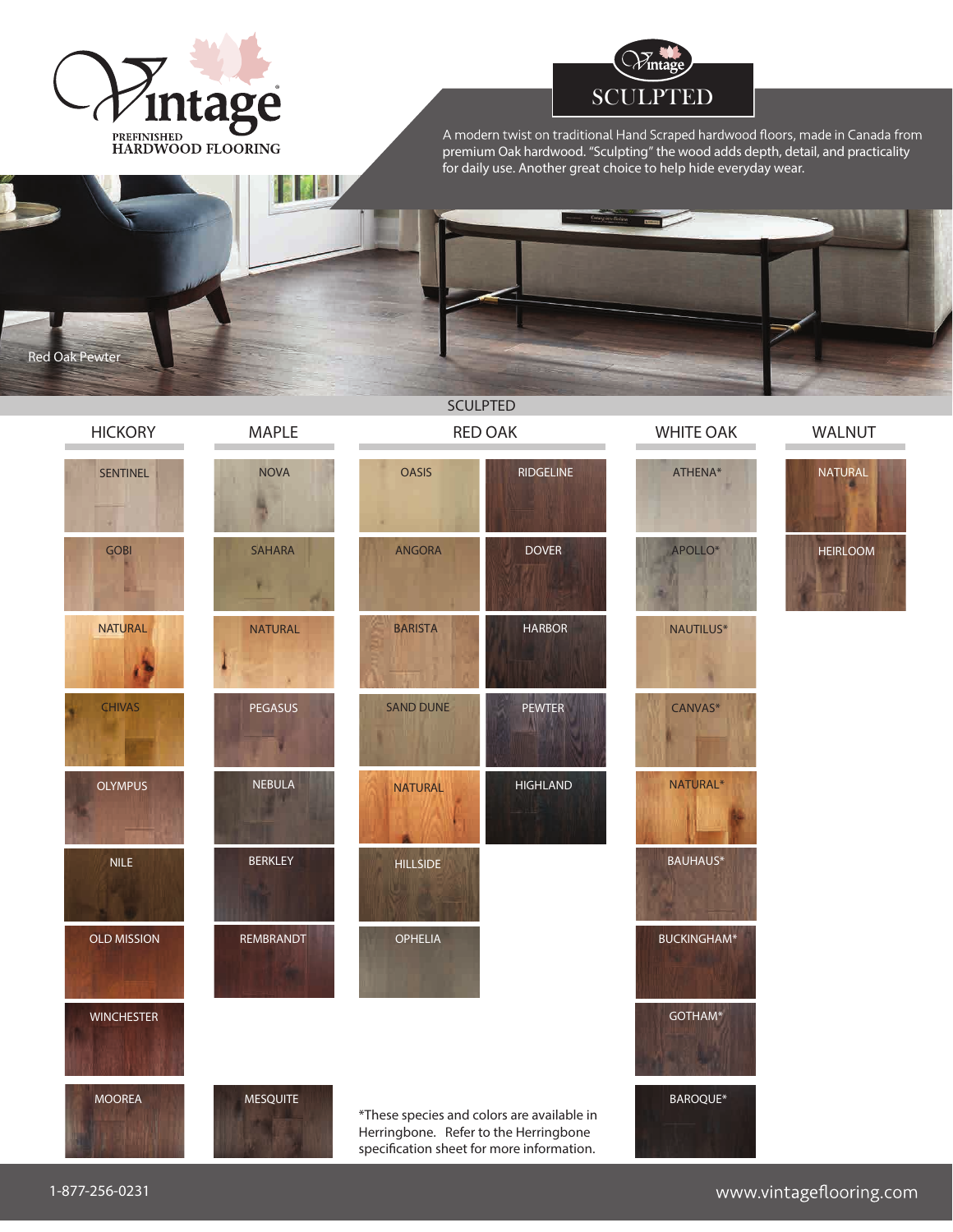



A modern twist on traditional Hand Scraped hardwood floors, made in Canada from premium Oak hardwood. "Sculpting" the wood adds depth, detail, and practicality for daily use. Another great choice to help hide everyday wear.







WALNUT